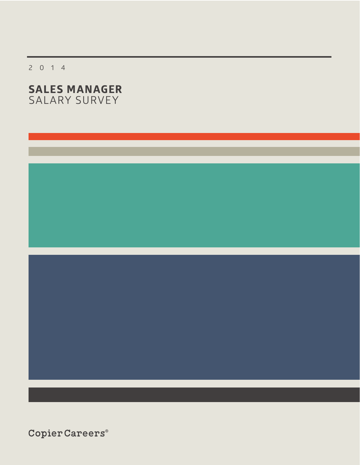2014

# **SALES MANAGER** SALARY SURVEY

 $\texttt{CopierCareers}^{\circ}$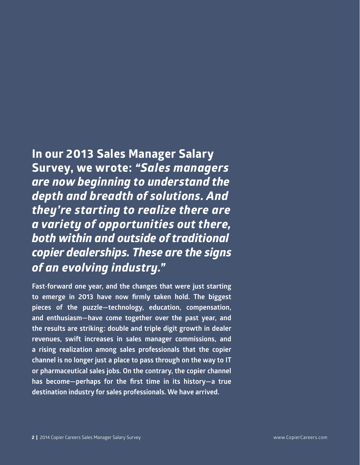# **In our 2013 Sales Manager Salary Survey, we wrote:** *"Sales managers are now beginning to understand the depth and breadth of solutions. And they're starting to realize there are a variety of opportunities out there, both within and outside of traditional copier dealerships. These are the signs of an evolving industry."*

**Fast-forward one year, and the changes that were just starting to emerge in 2013 have now firmly taken hold. The biggest pieces of the puzzle—technology, education, compensation, and enthusiasm—have come together over the past year, and the results are striking: double and triple digit growth in dealer revenues, swift increases in sales manager commissions, and a rising realization among sales professionals that the copier channel is no longer just a place to pass through on the way to IT or pharmaceutical sales jobs. On the contrary, the copier channel has become—perhaps for the first time in its history—a true destination industry for sales professionals. We have arrived.**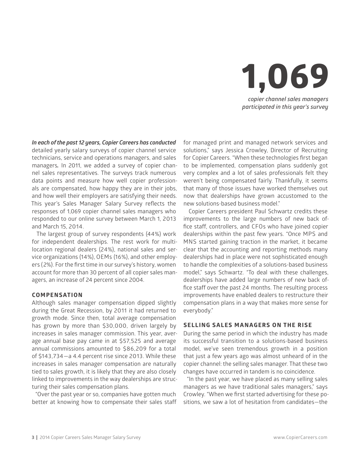

*In each of the past 12 years, Copier Careers has conducted* 

detailed yearly salary surveys of copier channel service technicians, service and operations managers, and sales managers*.* In 2011, we added a survey of copier channel sales representatives. The surveys track numerous data points and measure how well copier professionals are compensated, how happy they are in their jobs, and how well their employers are satisfying their needs. This year's Sales Manager Salary Survey reflects the responses of 1,069 copier channel sales managers who responded to our online survey between March 1, 2013 and March 15, 2014.

The largest group of survey respondents (44%) work for independent dealerships. The rest work for multilocation regional dealers (24%), national sales and service organizations (14%), OEMs (16%), and other employers (2%). For the first time in our survey's history, women account for more than 30 percent of all copier sales managers, an increase of 24 percent since 2004.

#### **COMPENSATION**

Although sales manager compensation dipped slightly during the Great Recession, by 2011 it had returned to growth mode. Since then, total average compensation has grown by more than \$30,000, driven largely by increases in sales manager commission. This year, average annual base pay came in at \$57,525 and average annual commissions amounted to \$86,209 for a total of \$143,734—a 4.4 percent rise since 2013. While these increases in sales manager compensation are naturally tied to sales growth, it is likely that they are also closely linked to improvements in the way dealerships are structuring their sales compensation plans.

"Over the past year or so, companies have gotten much better at knowing how to compensate their sales staff for managed print and managed network services and solutions," says Jessica Crowley, Director of Recruiting for Copier Careers. "When these technologies first began to be implemented, compensation plans suddenly got very complex and a lot of sales professionals felt they weren't being compensated fairly. Thankfully, it seems that many of those issues have worked themselves out now that dealerships have grown accustomed to the new solutions-based business model."

Copier Careers president Paul Schwartz credits these improvements to the large numbers of new back office staff, controllers, and CFOs who have joined copier dealerships within the past few years. "Once MPS and MNS started gaining traction in the market, it became clear that the accounting and reporting methods many dealerships had in place were not sophisticated enough to handle the complexities of a solutions-based business model," says Schwartz. "To deal with these challenges, dealerships have added large numbers of new back office staff over the past 24 months. The resulting process improvements have enabled dealers to restructure their compensation plans in a way that makes more sense for everybody."

#### **SELLING SALES MANAGERS ON THE RISE**

During the same period in which the industry has made its successful transition to a solutions-based business model, we've seen tremendous growth in a position that just a few years ago was almost unheard of in the copier channel: the selling sales manager. That these two changes have occurred in tandem is no coincidence.

"In the past year, we have placed as many selling sales managers as we have traditional sales managers," says Crowley. "When we first started advertising for these positions, we saw a lot of hesitation from candidates—the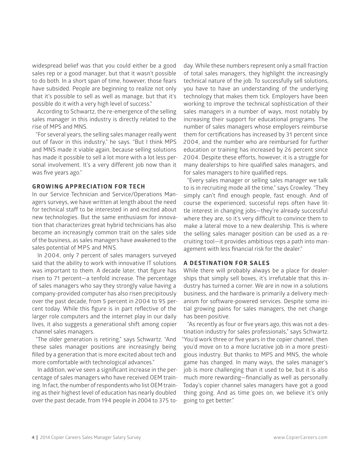widespread belief was that you could either be a good sales rep or a good manager, but that it wasn't possible to do both. In a short span of time, however, those fears have subsided. People are beginning to realize not only that it's possible to sell as well as manage, but that it's possible do it with a very high level of success."

According to Schwartz, the re-emergence of the selling sales manager in this industry is directly related to the rise of MPS and MNS.

"For several years, the selling sales manager really went out of favor in this industry," he says. "But I think MPS and MNS made it viable again, because selling solutions has made it possible to sell a lot more with a lot less personal involvement. It's a very different job now than it was five years ago."

#### **GROWING APPRECIATION FOR TECH**

In our Service Technician and Service/Operations Managers surveys, we have written at length about the need for technical staff to be interested in and excited about new technologies. But the same enthusiasm for innovation that characterizes great hybrid technicians has also become an increasingly common trait on the sales side of the business, as sales managers have awakened to the sales potential of MPS and MNS.

In 2004, only 7 percent of sales managers surveyed said that the ability to work with innovative IT solutions was important to them. A decade later, that figure has risen to 71 percent—a tenfold increase. The percentage of sales managers who say they strongly value having a company-provided computer has also risen precipitously over the past decade, from 5 percent in 2004 to 95 percent today. While this figure is in part reflective of the larger role computers and the internet play in our daily lives, it also suggests a generational shift among copier channel sales managers.

"The older generation is retiring," says Schwartz. "And these sales manager positions are increasingly being filled by a generation that is more excited about tech and more comfortable with technological advances."

In addition, we've seen a significant increase in the percentage of sales managers who have received OEM training. In fact, the number of respondents who list OEM training as their highest level of education has nearly doubled over the past decade, from 194 people in 2004 to 375 to-

day. While these numbers represent only a small fraction of total sales managers, they highlight the increasingly technical nature of the job. To successfully sell solutions, you have to have an understanding of the underlying technology that makes them tick. Employers have been working to improve the technical sophistication of their sales managers in a number of ways, most notably by increasing their support for educational programs. The number of sales managers whose employers reimburse them for certifications has increased by 31 percent since 2004, and the number who are reimbursed for further education or training has increased by 26 percent since 2004. Despite these efforts, however, it is a struggle for many dealerships to hire qualified sales managers, and for sales managers to hire qualified reps.

"Every sales manager or selling sales manager we talk to is in recruiting mode all the time," says Crowley. "They simply can't find enough people, fast enough. And of course the experienced, successful reps often have little interest in changing jobs—they're already successful where they are, so it's very difficult to convince them to make a lateral move to a new dealership. This is where the selling sales manager position can be used as a recruiting tool—it provides ambitious reps a path into management with less financial risk for the dealer."

#### **A DESTINATION FOR SALES**

While there will probably always be a place for dealerships that simply sell boxes, it's irrefutable that this industry has turned a corner. We are in now in a solutions business, and the hardware is primarily a delivery mechanism for software-powered services. Despite some initial growing pains for sales managers, the net change has been positive.

"As recently as four or five years ago, this was not a destination industry for sales professionals," says Schwartz. "You'd work three or five years in the copier channel, then you'd move on to a more lucrative job in a more prestigious industry. But thanks to MPS and MNS, the whole game has changed. In many ways, the sales manager's job is more challenging than it used to be, but it is also much more rewarding—financially as well as personally. Today's copier channel sales managers have got a good thing going. And as time goes on, we believe it's only going to get better."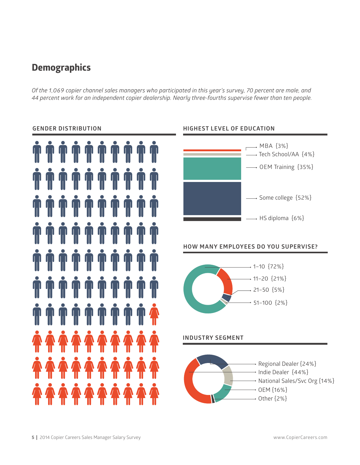# **Demographics**

*Of the 1,069 copier channel sales managers who participated in this year's survey, 70 percent are male, and 44 percent work for an independent copier dealership. Nearly three-fourths supervise fewer than ten people.*

#### **GENDER DISTRIBUTION**





# **HOW MANY EMPLOYEES DO YOU SUPERVISE? HOW MANY EMPLOYEES DO**



#### **INDUSTRY SEGMENT**

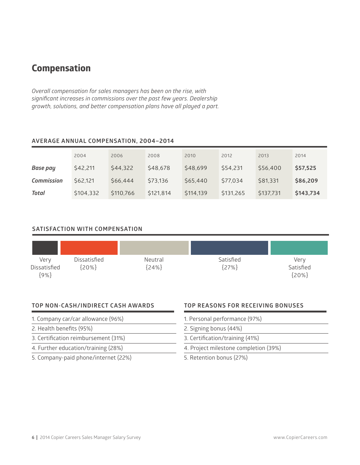## **Compensation**

*Overall compensation for sales managers has been on the rise, with significant increases in commissions over the past few years. Dealership growth, solutions, and better compensation plans have all played a part.* 

#### **AVERAGE ANNUAL COMPENSATION, 2004–2014**

|                   | 2004      | 2006      | 2008      | 2010      | 2012      | 2013      | 2014      |
|-------------------|-----------|-----------|-----------|-----------|-----------|-----------|-----------|
| Base pay          | \$42,211  | \$44,322  | \$48,678  | \$48,699  | \$54,231  | \$56,400  | \$57,525  |
| <b>Commission</b> | \$62,121  | \$66,444  | \$73,136  | \$65,440  | \$77,034  | \$81,331  | \$86,209  |
| Total             | \$104,332 | \$110,766 | \$121,814 | \$114,139 | \$131,265 | \$137,731 | \$143,734 |

#### **SATISFACTION WITH COMPENSATION**

| Very<br>Dissatisfied<br>${9\%}$ | Dissatisfied<br>[20%] | Neutral<br>[24%] | Satisfied<br>[27%] | Very<br>Satisfied<br>${20%}$ |
|---------------------------------|-----------------------|------------------|--------------------|------------------------------|

#### **TOP NON-CASH/INDIRECT CASH AWARDS**

- 1. Company car/car allowance (96%)
- 2. Health benefits (95%)
- 3. Certification reimbursement (31%)
- 4. Further education/training (28%)
- 5. Company-paid phone/internet (22%)

#### **TOP REASONS FOR RECEIVING BONUSES**

- 1. Personal performance (97%)
- 2. Signing bonus (44%)
- 3. Certification/training (41%)
- 4. Project milestone completion (39%)
- 5. Retention bonus (27%)